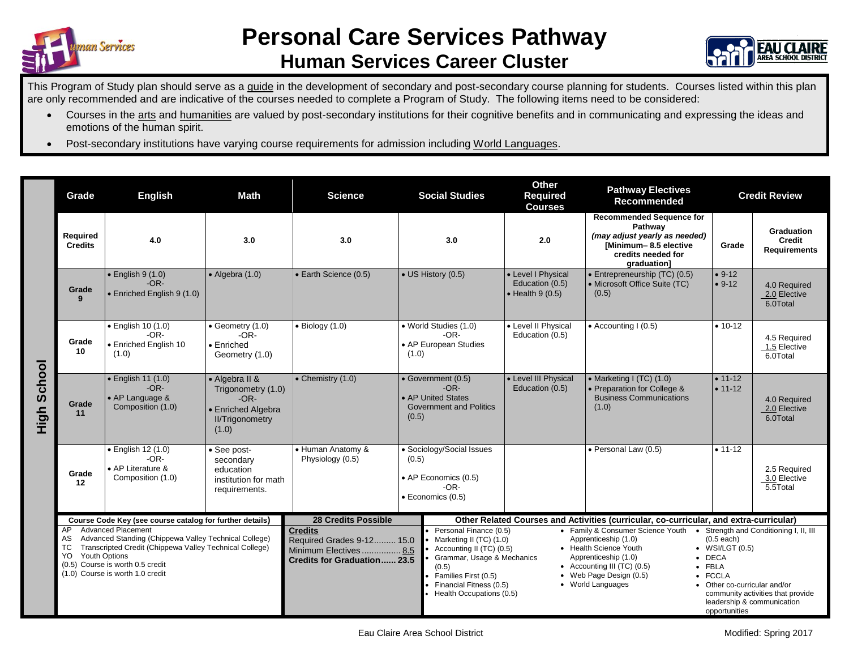



This Program of Study plan should serve as a guide in the development of secondary and post-secondary course planning for students. Courses listed within this plan are only recommended and are indicative of the courses needed to complete a Program of Study. The following items need to be considered:

- Courses in the arts and humanities are valued by post-secondary institutions for their cognitive benefits and in communicating and expressing the ideas and emotions of the human spirit.
- Post-secondary institutions have varying course requirements for admission including World Languages.

|                | Grade                                                                                                                                                                                                                              | <b>Math</b><br><b>English</b>                                                  |                                                                                                         | <b>Social Studies</b><br><b>Science</b>                                                                                                                                                                                                                               |                                                                                                   | <b>Other</b><br><b>Required</b><br><b>Courses</b>                                                                                                                                                          | <b>Pathway Electives</b><br>Recommended                                                                                                   | <b>Credit Review</b>                                                                                                                                                                            |                                                           |  |
|----------------|------------------------------------------------------------------------------------------------------------------------------------------------------------------------------------------------------------------------------------|--------------------------------------------------------------------------------|---------------------------------------------------------------------------------------------------------|-----------------------------------------------------------------------------------------------------------------------------------------------------------------------------------------------------------------------------------------------------------------------|---------------------------------------------------------------------------------------------------|------------------------------------------------------------------------------------------------------------------------------------------------------------------------------------------------------------|-------------------------------------------------------------------------------------------------------------------------------------------|-------------------------------------------------------------------------------------------------------------------------------------------------------------------------------------------------|-----------------------------------------------------------|--|
|                | Required<br><b>Credits</b>                                                                                                                                                                                                         | 4.0                                                                            | 3.0                                                                                                     | 3.0                                                                                                                                                                                                                                                                   | 3.0                                                                                               | 2.0                                                                                                                                                                                                        | <b>Recommended Sequence for</b><br>Pathway<br>(may adjust yearly as needed)<br>[Minimum-8.5 elective<br>credits needed for<br>graduation] | Grade                                                                                                                                                                                           | <b>Graduation</b><br><b>Credit</b><br><b>Requirements</b> |  |
| School<br>High | Grade<br>$\mathbf{q}$                                                                                                                                                                                                              | $\bullet$ English 9 (1.0)<br>$-OR-$<br>• Enriched English 9 (1.0)              | $\bullet$ Algebra (1.0)                                                                                 | • Earth Science (0.5)                                                                                                                                                                                                                                                 | • US History (0.5)                                                                                | • Level I Physical<br>Education (0.5)<br>$\bullet$ Health 9 (0.5)                                                                                                                                          | • Entrepreneurship (TC) (0.5)<br>• Microsoft Office Suite (TC)<br>(0.5)                                                                   | $• 9-12$<br>$• 9-12$                                                                                                                                                                            | 4.0 Required<br>2.0 Elective<br>6.0Total                  |  |
|                | Grade<br>10                                                                                                                                                                                                                        | $\bullet$ English 10 (1.0)<br>$-OR-$<br>• Enriched English 10<br>(1.0)         | • Geometry (1.0)<br>$-OR-$<br>• Enriched<br>Geometry (1.0)                                              | $\bullet$ Biology (1.0)                                                                                                                                                                                                                                               | • World Studies (1.0)<br>$-OR-$<br>• AP European Studies<br>(1.0)                                 | • Level II Physical<br>Education (0.5)                                                                                                                                                                     | • Accounting I (0.5)                                                                                                                      | $• 10-12$                                                                                                                                                                                       | 4.5 Required<br>1.5 Elective<br>6.0Total                  |  |
|                | Grade<br>11                                                                                                                                                                                                                        | $\bullet$ English 11 (1.0)<br>$-OR-$<br>• AP Language &<br>Composition (1.0)   | • Algebra II &<br>Trigonometry (1.0)<br>$-OR-$<br>• Enriched Algebra<br><b>II/Trigonometry</b><br>(1.0) | $\bullet$ Chemistry (1.0)                                                                                                                                                                                                                                             | • Government (0.5)<br>$-OR-$<br>• AP United States<br><b>Government and Politics</b><br>(0.5)     | • Level III Physical<br>Education (0.5)                                                                                                                                                                    | • Marketing I (TC) (1.0)<br>• Preparation for College &<br><b>Business Communications</b><br>(1.0)                                        | $• 11 - 12$<br>$• 11-12$                                                                                                                                                                        | 4.0 Required<br>2.0 Elective<br>6.0Total                  |  |
|                | Grade<br>12                                                                                                                                                                                                                        | $\bullet$ English 12 (1.0)<br>$-OR-$<br>• AP Literature &<br>Composition (1.0) | • See post-<br>secondary<br>education<br>institution for math<br>requirements.                          | • Human Anatomy &<br>Physiology (0.5)                                                                                                                                                                                                                                 | • Sociology/Social Issues<br>(0.5)<br>• AP Economics (0.5)<br>$-OR-$<br>$\bullet$ Economics (0.5) |                                                                                                                                                                                                            | • Personal Law (0.5)                                                                                                                      | $• 11-12$                                                                                                                                                                                       | 2.5 Required<br>3.0 Elective<br>$5.5$ Total               |  |
|                | Course Code Key (see course catalog for further details)<br><b>Advanced Placement</b><br>AP                                                                                                                                        |                                                                                |                                                                                                         | <b>28 Credits Possible</b><br><b>Credits</b>                                                                                                                                                                                                                          |                                                                                                   | Other Related Courses and Activities (curricular, co-curricular, and extra-curricular)<br>Personal Finance (0.5)<br>• Family & Consumer Science Youth<br>Strength and Conditioning I, II, III<br>$\bullet$ |                                                                                                                                           |                                                                                                                                                                                                 |                                                           |  |
|                | Advanced Standing (Chippewa Valley Technical College)<br>AS<br><b>TC</b><br>Transcripted Credit (Chippewa Valley Technical College)<br>Youth Options<br>YO<br>(0.5) Course is worth 0.5 credit<br>(1.0) Course is worth 1.0 credit |                                                                                |                                                                                                         | Marketing II (TC) (1.0)<br>Required Grades 9-12 15.0<br>Accounting II (TC) (0.5)<br>Minimum Electives 8.5<br>Grammar, Usage & Mechanics<br><b>Credits for Graduation 23.5</b><br>(0.5)<br>Families First (0.5)<br>Financial Fitness (0.5)<br>Health Occupations (0.5) |                                                                                                   | Apprenticeship (1.0)<br>• Health Science Youth<br>Apprenticeship (1.0)<br>• Accounting III $(TC)$ $(0.5)$<br>• Web Page Design (0.5)<br>• World Languages                                                  |                                                                                                                                           | $(0.5$ each)<br>WSI/LGT(0.5)<br>$\bullet$ DECA<br>$\bullet$ FBLA<br>• FCCLA<br>• Other co-curricular and/or<br>community activities that provide<br>leadership & communication<br>opportunities |                                                           |  |